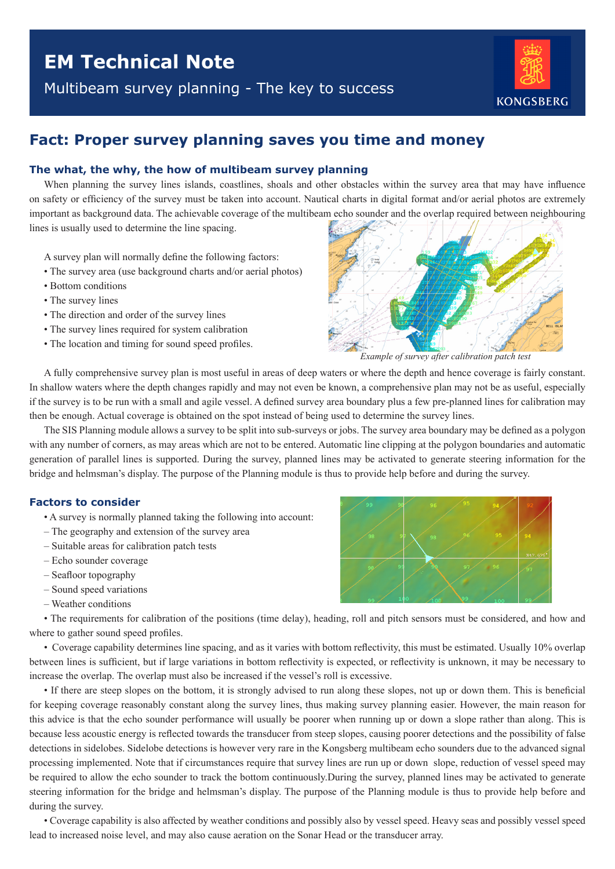Multibeam survey planning - The key to success



# **Fact: Proper survey planning saves you time and money**

## **The what, the why, the how of multibeam survey planning**

When planning the survey lines islands, coastlines, shoals and other obstacles within the survey area that may have influence on safety or efficiency of the survey must be taken into account. Nautical charts in digital format and/or aerial photos are extremely important as background data. The achievable coverage of the multibeam echo sounder and the overlap required between neighbouring lines is usually used to determine the line spacing.

A survey plan will normally define the following factors:

- The survey area (use background charts and/or aerial photos)
- Bottom conditions
- The survey lines
- The direction and order of the survey lines
- The survey lines required for system calibration
- The location and timing for sound speed profiles.



*Example of survey after calibration patch test*

A fully comprehensive survey plan is most useful in areas of deep waters or where the depth and hence coverage is fairly constant. In shallow waters where the depth changes rapidly and may not even be known, a comprehensive plan may not be as useful, especially if the survey is to be run with a small and agile vessel. A defined survey area boundary plus a few pre-planned lines for calibration may then be enough. Actual coverage is obtained on the spot instead of being used to determine the survey lines.

The SIS Planning module allows a survey to be split into sub-surveys or jobs. The survey area boundary may be defined as a polygon with any number of corners, as may areas which are not to be entered. Automatic line clipping at the polygon boundaries and automatic generation of parallel lines is supported. During the survey, planned lines may be activated to generate steering information for the bridge and helmsman's display. The purpose of the Planning module is thus to provide help before and during the survey.

### **Factors to consider**

- A survey is normally planned taking the following into account:
- The geography and extension of the survey area
- Suitable areas for calibration patch tests
- Echo sounder coverage
- Seafloor topography
- Sound speed variations
- Weather conditions

• The requirements for calibration of the positions (time delay), heading, roll and pitch sensors must be considered, and how and where to gather sound speed profiles.

• Coverage capability determines line spacing, and as it varies with bottom reflectivity, this must be estimated. Usually 10% overlap between lines is sufficient, but if large variations in bottom reflectivity is expected, or reflectivity is unknown, it may be necessary to increase the overlap. The overlap must also be increased if the vessel's roll is excessive.

• If there are steep slopes on the bottom, it is strongly advised to run along these slopes, not up or down them. This is beneficial for keeping coverage reasonably constant along the survey lines, thus making survey planning easier. However, the main reason for this advice is that the echo sounder performance will usually be poorer when running up or down a slope rather than along. This is because less acoustic energy is reflected towards the transducer from steep slopes, causing poorer detections and the possibility of false detections in sidelobes. Sidelobe detections is however very rare in the Kongsberg multibeam echo sounders due to the advanced signal processing implemented. Note that if circumstances require that survey lines are run up or down slope, reduction of vessel speed may be required to allow the echo sounder to track the bottom continuously.During the survey, planned lines may be activated to generate steering information for the bridge and helmsman's display. The purpose of the Planning module is thus to provide help before and during the survey.

• Coverage capability is also affected by weather conditions and possibly also by vessel speed. Heavy seas and possibly vessel speed lead to increased noise level, and may also cause aeration on the Sonar Head or the transducer array.